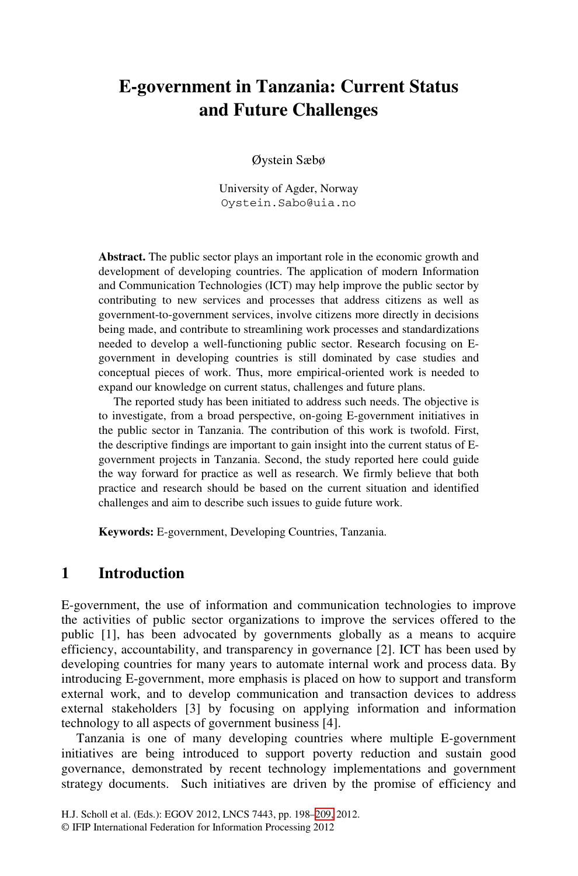# **E-government in Tanzania: Current Status and Future Challenges**

Øystein Sæbø

University of Agder, Norway Oystein.Sabo@uia.no

**Abstract.** The public sector plays an important role in the economic growth and development of developing countries. The application of modern Information and Communication Technologies (ICT) may help improve the public sector by contributing to new services and processes that address citizens as well as government-to-government services, involve citizens more directly in decisions being made, and contribute to streamlining work processes and standardizations needed to develop a well-functioning public sector. Research focusing on Egovernment in developing countries is still dominated by case studies and conceptual pieces of work. Thus, more empirical-oriented work is needed to expand our knowledge on current status, challenges and future plans.

The reported study has been initiated to address such needs. The objective is to investigate, from a broad perspective, on-going E-government initiatives in the public sector in Tanzania. The contribution of this work is twofold. First, the descriptive findings are important to gain insight into the current status of Egovernment projects in Tanzania. Second, the study reported here could guide the way forward for practice as well as research. We firmly believe that both practice and research should be based on the current situation and identified challenges and aim to describe such issues to guide future work.

**Keywords:** E-government, Developing Countries, Tanzania.

#### **1 Introduction**

E-government, the use of information and communication technologies to improve the activities of public sector organizations to improve the services offered to the public [1], has been advocated by governments globally as a means to acquire efficiency, accountability, and transparency in governance [2]. ICT has been used by developing countries for many years to automate internal work and process data. By introducing E-government, more emphasis is placed on how to support and transform external work, and to dev[elop](#page-11-0) communication and transaction devices to address external stakeholders [3] by focusing on applying information and information technology to all aspects of government business [4].

Tanzania is one of many developing countries where multiple E-government initiatives are being introduced to support poverty reduction and sustain good governance, demonstrated by recent technology implementations and government strategy documents. Such initiatives are driven by the promise of efficiency and

© IFIP International Federation for Information Processing 2012

H.J. Scholl et al. (Eds.): EGOV 2012, LNCS 7443, pp. 198–209, 2012.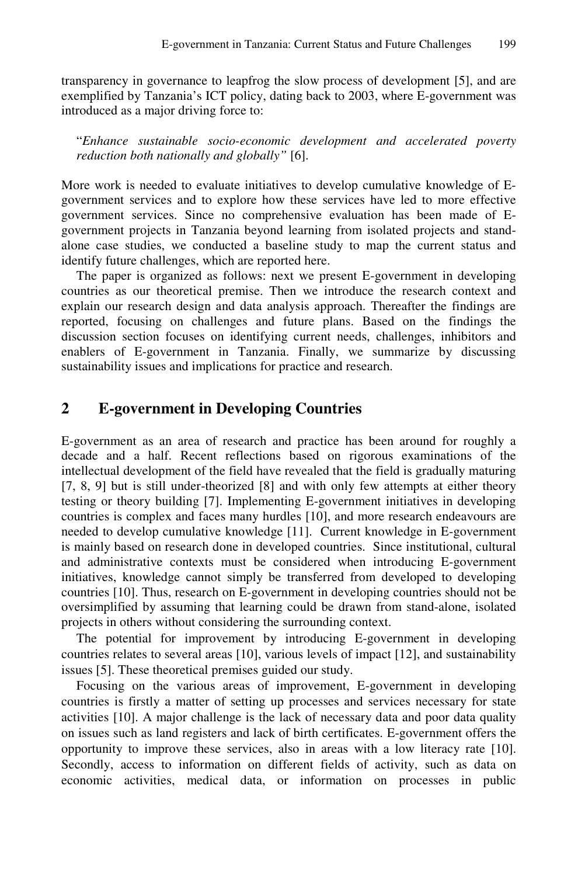transparency in governance to leapfrog the slow process of development [5], and are exemplified by Tanzania's ICT policy, dating back to 2003, where E-government was introduced as a major driving force to:

"*Enhance sustainable socio-economic development and accelerated poverty reduction both nationally and globally"* [6].

More work is needed to evaluate initiatives to develop cumulative knowledge of Egovernment services and to explore how these services have led to more effective government services. Since no comprehensive evaluation has been made of Egovernment projects in Tanzania beyond learning from isolated projects and standalone case studies, we conducted a baseline study to map the current status and identify future challenges, which are reported here.

The paper is organized as follows: next we present E-government in developing countries as our theoretical premise. Then we introduce the research context and explain our research design and data analysis approach. Thereafter the findings are reported, focusing on challenges and future plans. Based on the findings the discussion section focuses on identifying current needs, challenges, inhibitors and enablers of E-government in Tanzania. Finally, we summarize by discussing sustainability issues and implications for practice and research.

# **2 E-government in Developing Countries**

E-government as an area of research and practice has been around for roughly a decade and a half. Recent reflections based on rigorous examinations of the intellectual development of the field have revealed that the field is gradually maturing [7, 8, 9] but is still under-theorized [8] and with only few attempts at either theory testing or theory building [7]. Implementing E-government initiatives in developing countries is complex and faces many hurdles [10], and more research endeavours are needed to develop cumulative knowledge [11]. Current knowledge in E-government is mainly based on research done in developed countries. Since institutional, cultural and administrative contexts must be considered when introducing E-government initiatives, knowledge cannot simply be transferred from developed to developing countries [10]. Thus, research on E-government in developing countries should not be oversimplified by assuming that learning could be drawn from stand-alone, isolated projects in others without considering the surrounding context.

The potential for improvement by introducing E-government in developing countries relates to several areas [10], various levels of impact [12], and sustainability issues [5]. These theoretical premises guided our study.

Focusing on the various areas of improvement, E-government in developing countries is firstly a matter of setting up processes and services necessary for state activities [10]. A major challenge is the lack of necessary data and poor data quality on issues such as land registers and lack of birth certificates. E-government offers the opportunity to improve these services, also in areas with a low literacy rate [10]. Secondly, access to information on different fields of activity, such as data on economic activities, medical data, or information on processes in public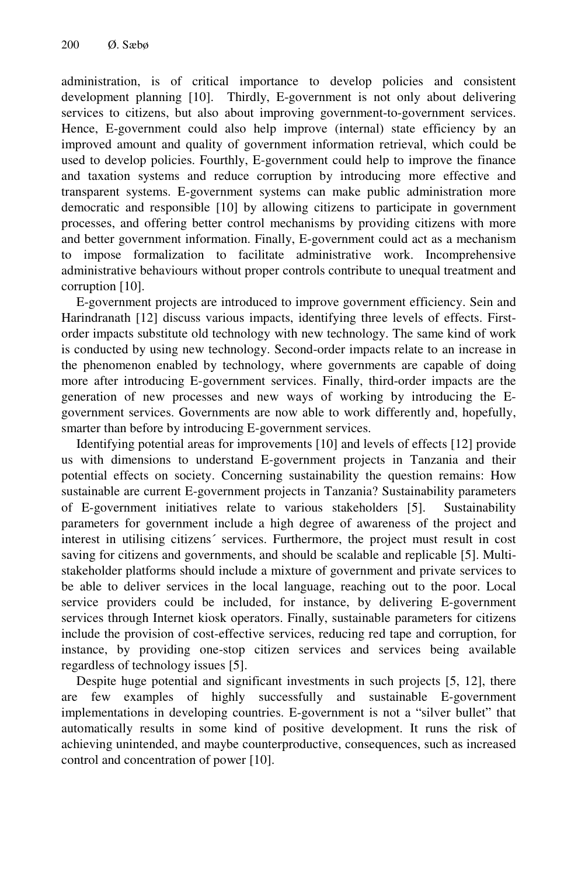administration, is of critical importance to develop policies and consistent development planning [10]. Thirdly, E-government is not only about delivering services to citizens, but also about improving government-to-government services. Hence, E-government could also help improve (internal) state efficiency by an improved amount and quality of government information retrieval, which could be used to develop policies. Fourthly, E-government could help to improve the finance and taxation systems and reduce corruption by introducing more effective and transparent systems. E-government systems can make public administration more democratic and responsible [10] by allowing citizens to participate in government processes, and offering better control mechanisms by providing citizens with more and better government information. Finally, E-government could act as a mechanism to impose formalization to facilitate administrative work. Incomprehensive administrative behaviours without proper controls contribute to unequal treatment and corruption [10].

E-government projects are introduced to improve government efficiency. Sein and Harindranath [12] discuss various impacts, identifying three levels of effects. Firstorder impacts substitute old technology with new technology. The same kind of work is conducted by using new technology. Second-order impacts relate to an increase in the phenomenon enabled by technology, where governments are capable of doing more after introducing E-government services. Finally, third-order impacts are the generation of new processes and new ways of working by introducing the Egovernment services. Governments are now able to work differently and, hopefully, smarter than before by introducing E-government services.

Identifying potential areas for improvements [10] and levels of effects [12] provide us with dimensions to understand E-government projects in Tanzania and their potential effects on society. Concerning sustainability the question remains: How sustainable are current E-government projects in Tanzania? Sustainability parameters of E-government initiatives relate to various stakeholders [5]. Sustainability parameters for government include a high degree of awareness of the project and interest in utilising citizens´ services. Furthermore, the project must result in cost saving for citizens and governments, and should be scalable and replicable [5]. Multistakeholder platforms should include a mixture of government and private services to be able to deliver services in the local language, reaching out to the poor. Local service providers could be included, for instance, by delivering E-government services through Internet kiosk operators. Finally, sustainable parameters for citizens include the provision of cost-effective services, reducing red tape and corruption, for instance, by providing one-stop citizen services and services being available regardless of technology issues [5].

Despite huge potential and significant investments in such projects [5, 12], there are few examples of highly successfully and sustainable E-government implementations in developing countries. E-government is not a "silver bullet" that automatically results in some kind of positive development. It runs the risk of achieving unintended, and maybe counterproductive, consequences, such as increased control and concentration of power [10].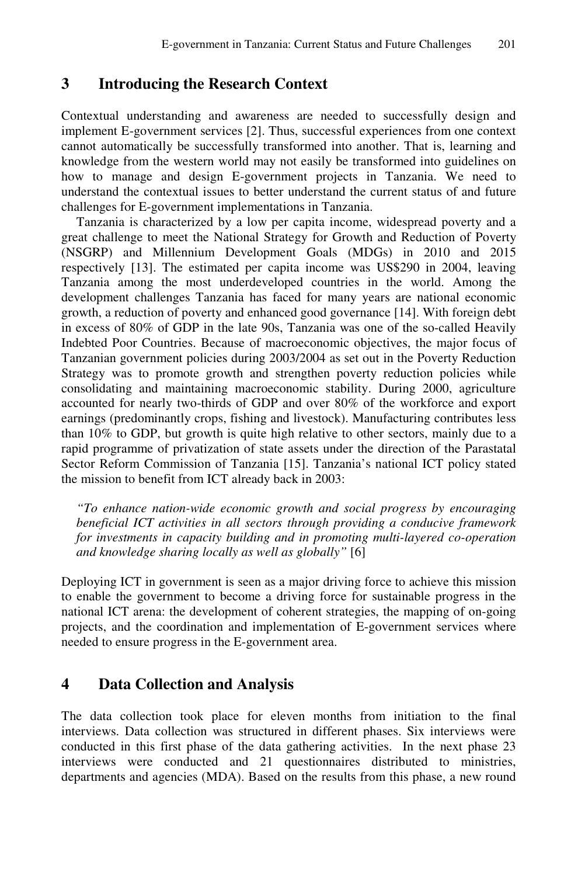# **3 Introducing the Research Context**

Contextual understanding and awareness are needed to successfully design and implement E-government services [2]. Thus, successful experiences from one context cannot automatically be successfully transformed into another. That is, learning and knowledge from the western world may not easily be transformed into guidelines on how to manage and design E-government projects in Tanzania. We need to understand the contextual issues to better understand the current status of and future challenges for E-government implementations in Tanzania.

Tanzania is characterized by a low per capita income, widespread poverty and a great challenge to meet the National Strategy for Growth and Reduction of Poverty (NSGRP) and Millennium Development Goals (MDGs) in 2010 and 2015 respectively [13]. The estimated per capita income was US\$290 in 2004, leaving Tanzania among the most underdeveloped countries in the world. Among the development challenges Tanzania has faced for many years are national economic growth, a reduction of poverty and enhanced good governance [14]. With foreign debt in excess of 80% of GDP in the late 90s, Tanzania was one of the so-called Heavily Indebted Poor Countries. Because of macroeconomic objectives, the major focus of Tanzanian government policies during 2003/2004 as set out in the Poverty Reduction Strategy was to promote growth and strengthen poverty reduction policies while consolidating and maintaining macroeconomic stability. During 2000, agriculture accounted for nearly two-thirds of GDP and over 80% of the workforce and export earnings (predominantly crops, fishing and livestock). Manufacturing contributes less than 10% to GDP, but growth is quite high relative to other sectors, mainly due to a rapid programme of privatization of state assets under the direction of the Parastatal Sector Reform Commission of Tanzania [15]. Tanzania's national ICT policy stated the mission to benefit from ICT already back in 2003:

*"To enhance nation-wide economic growth and social progress by encouraging beneficial ICT activities in all sectors through providing a conducive framework for investments in capacity building and in promoting multi-layered co-operation and knowledge sharing locally as well as globally"* [6]

Deploying ICT in government is seen as a major driving force to achieve this mission to enable the government to become a driving force for sustainable progress in the national ICT arena: the development of coherent strategies, the mapping of on-going projects, and the coordination and implementation of E-government services where needed to ensure progress in the E-government area.

# **4 Data Collection and Analysis**

The data collection took place for eleven months from initiation to the final interviews. Data collection was structured in different phases. Six interviews were conducted in this first phase of the data gathering activities. In the next phase 23 interviews were conducted and 21 questionnaires distributed to ministries, departments and agencies (MDA). Based on the results from this phase, a new round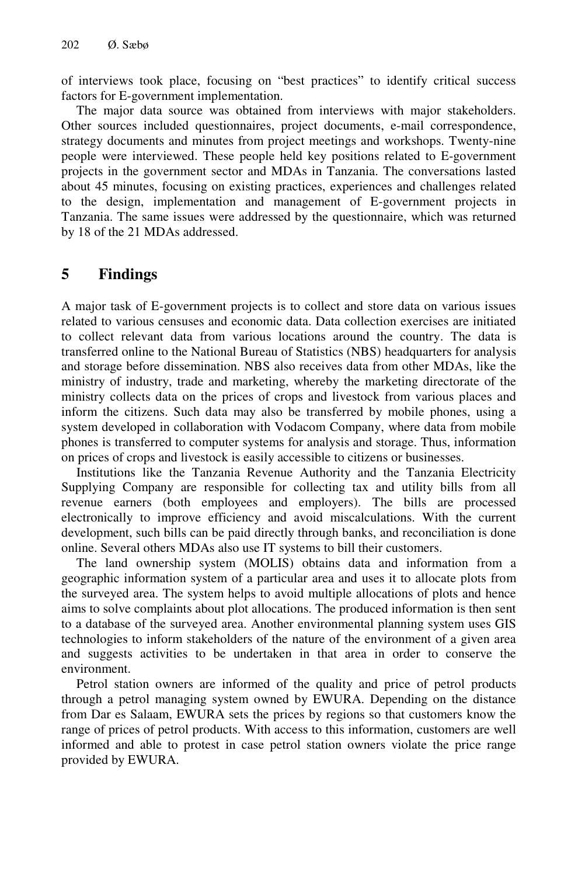of interviews took place, focusing on "best practices" to identify critical success factors for E-government implementation.

The major data source was obtained from interviews with major stakeholders. Other sources included questionnaires, project documents, e-mail correspondence, strategy documents and minutes from project meetings and workshops. Twenty-nine people were interviewed. These people held key positions related to E-government projects in the government sector and MDAs in Tanzania. The conversations lasted about 45 minutes, focusing on existing practices, experiences and challenges related to the design, implementation and management of E-government projects in Tanzania. The same issues were addressed by the questionnaire, which was returned by 18 of the 21 MDAs addressed.

# **5 Findings**

A major task of E-government projects is to collect and store data on various issues related to various censuses and economic data. Data collection exercises are initiated to collect relevant data from various locations around the country. The data is transferred online to the National Bureau of Statistics (NBS) headquarters for analysis and storage before dissemination. NBS also receives data from other MDAs, like the ministry of industry, trade and marketing, whereby the marketing directorate of the ministry collects data on the prices of crops and livestock from various places and inform the citizens. Such data may also be transferred by mobile phones, using a system developed in collaboration with Vodacom Company, where data from mobile phones is transferred to computer systems for analysis and storage. Thus, information on prices of crops and livestock is easily accessible to citizens or businesses.

Institutions like the Tanzania Revenue Authority and the Tanzania Electricity Supplying Company are responsible for collecting tax and utility bills from all revenue earners (both employees and employers). The bills are processed electronically to improve efficiency and avoid miscalculations. With the current development, such bills can be paid directly through banks, and reconciliation is done online. Several others MDAs also use IT systems to bill their customers.

The land ownership system (MOLIS) obtains data and information from a geographic information system of a particular area and uses it to allocate plots from the surveyed area. The system helps to avoid multiple allocations of plots and hence aims to solve complaints about plot allocations. The produced information is then sent to a database of the surveyed area. Another environmental planning system uses GIS technologies to inform stakeholders of the nature of the environment of a given area and suggests activities to be undertaken in that area in order to conserve the environment.

Petrol station owners are informed of the quality and price of petrol products through a petrol managing system owned by EWURA. Depending on the distance from Dar es Salaam, EWURA sets the prices by regions so that customers know the range of prices of petrol products. With access to this information, customers are well informed and able to protest in case petrol station owners violate the price range provided by EWURA.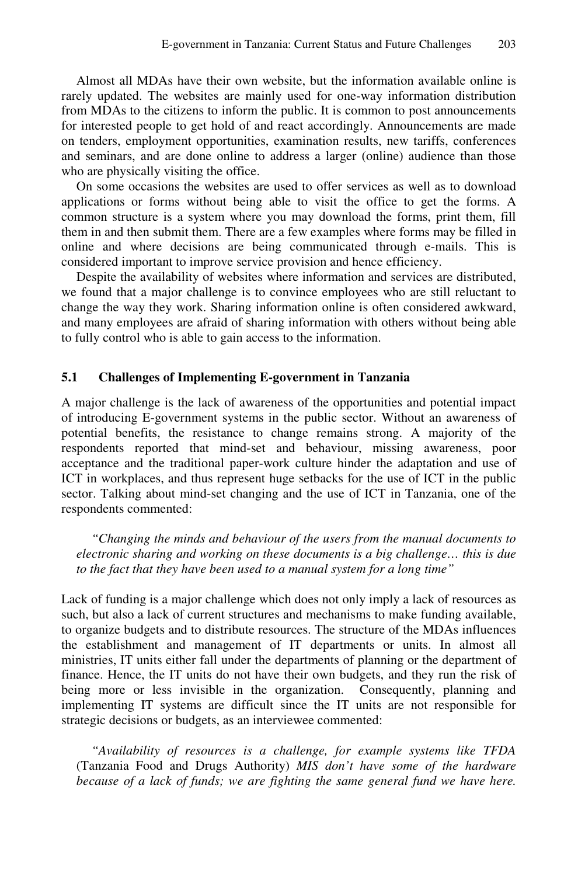Almost all MDAs have their own website, but the information available online is rarely updated. The websites are mainly used for one-way information distribution from MDAs to the citizens to inform the public. It is common to post announcements for interested people to get hold of and react accordingly. Announcements are made on tenders, employment opportunities, examination results, new tariffs, conferences and seminars, and are done online to address a larger (online) audience than those who are physically visiting the office.

On some occasions the websites are used to offer services as well as to download applications or forms without being able to visit the office to get the forms. A common structure is a system where you may download the forms, print them, fill them in and then submit them. There are a few examples where forms may be filled in online and where decisions are being communicated through e-mails. This is considered important to improve service provision and hence efficiency.

Despite the availability of websites where information and services are distributed, we found that a major challenge is to convince employees who are still reluctant to change the way they work. Sharing information online is often considered awkward, and many employees are afraid of sharing information with others without being able to fully control who is able to gain access to the information.

#### **5.1 Challenges of Implementing E-government in Tanzania**

A major challenge is the lack of awareness of the opportunities and potential impact of introducing E-government systems in the public sector. Without an awareness of potential benefits, the resistance to change remains strong. A majority of the respondents reported that mind-set and behaviour, missing awareness, poor acceptance and the traditional paper-work culture hinder the adaptation and use of ICT in workplaces, and thus represent huge setbacks for the use of ICT in the public sector. Talking about mind-set changing and the use of ICT in Tanzania, one of the respondents commented:

*"Changing the minds and behaviour of the users from the manual documents to electronic sharing and working on these documents is a big challenge… this is due to the fact that they have been used to a manual system for a long time"* 

Lack of funding is a major challenge which does not only imply a lack of resources as such, but also a lack of current structures and mechanisms to make funding available, to organize budgets and to distribute resources. The structure of the MDAs influences the establishment and management of IT departments or units. In almost all ministries, IT units either fall under the departments of planning or the department of finance. Hence, the IT units do not have their own budgets, and they run the risk of being more or less invisible in the organization. Consequently, planning and implementing IT systems are difficult since the IT units are not responsible for strategic decisions or budgets, as an interviewee commented:

*"Availability of resources is a challenge, for example systems like TFDA*  (Tanzania Food and Drugs Authority) *MIS don't have some of the hardware because of a lack of funds; we are fighting the same general fund we have here.*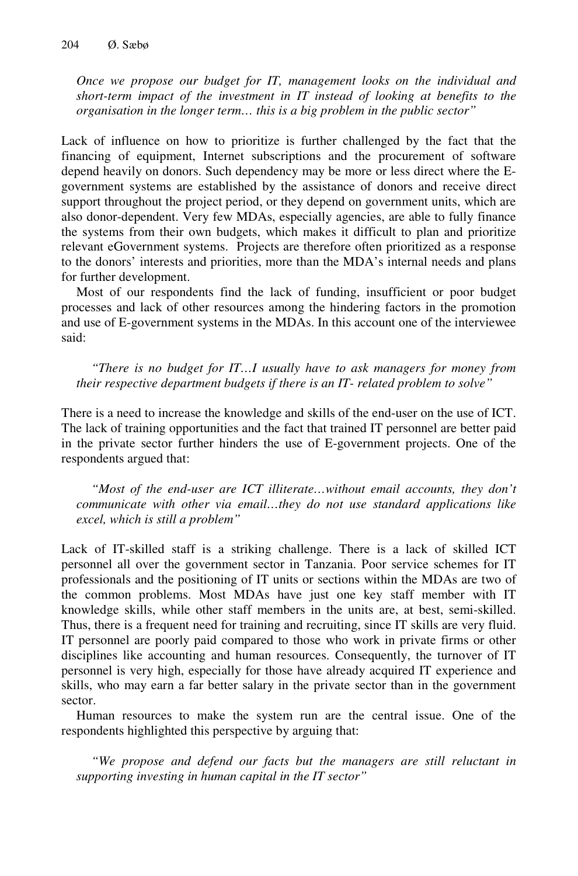*Once we propose our budget for IT, management looks on the individual and short-term impact of the investment in IT instead of looking at benefits to the organisation in the longer term… this is a big problem in the public sector"* 

Lack of influence on how to prioritize is further challenged by the fact that the financing of equipment, Internet subscriptions and the procurement of software depend heavily on donors. Such dependency may be more or less direct where the Egovernment systems are established by the assistance of donors and receive direct support throughout the project period, or they depend on government units, which are also donor-dependent. Very few MDAs, especially agencies, are able to fully finance the systems from their own budgets, which makes it difficult to plan and prioritize relevant eGovernment systems. Projects are therefore often prioritized as a response to the donors' interests and priorities, more than the MDA's internal needs and plans for further development.

Most of our respondents find the lack of funding, insufficient or poor budget processes and lack of other resources among the hindering factors in the promotion and use of E-government systems in the MDAs. In this account one of the interviewee said:

*"There is no budget for IT…I usually have to ask managers for money from their respective department budgets if there is an IT- related problem to solve"* 

There is a need to increase the knowledge and skills of the end-user on the use of ICT. The lack of training opportunities and the fact that trained IT personnel are better paid in the private sector further hinders the use of E-government projects. One of the respondents argued that:

*"Most of the end-user are ICT illiterate…without email accounts, they don't communicate with other via email…they do not use standard applications like excel, which is still a problem"* 

Lack of IT-skilled staff is a striking challenge. There is a lack of skilled ICT personnel all over the government sector in Tanzania. Poor service schemes for IT professionals and the positioning of IT units or sections within the MDAs are two of the common problems. Most MDAs have just one key staff member with IT knowledge skills, while other staff members in the units are, at best, semi-skilled. Thus, there is a frequent need for training and recruiting, since IT skills are very fluid. IT personnel are poorly paid compared to those who work in private firms or other disciplines like accounting and human resources. Consequently, the turnover of IT personnel is very high, especially for those have already acquired IT experience and skills, who may earn a far better salary in the private sector than in the government sector.

Human resources to make the system run are the central issue. One of the respondents highlighted this perspective by arguing that:

*"We propose and defend our facts but the managers are still reluctant in supporting investing in human capital in the IT sector"*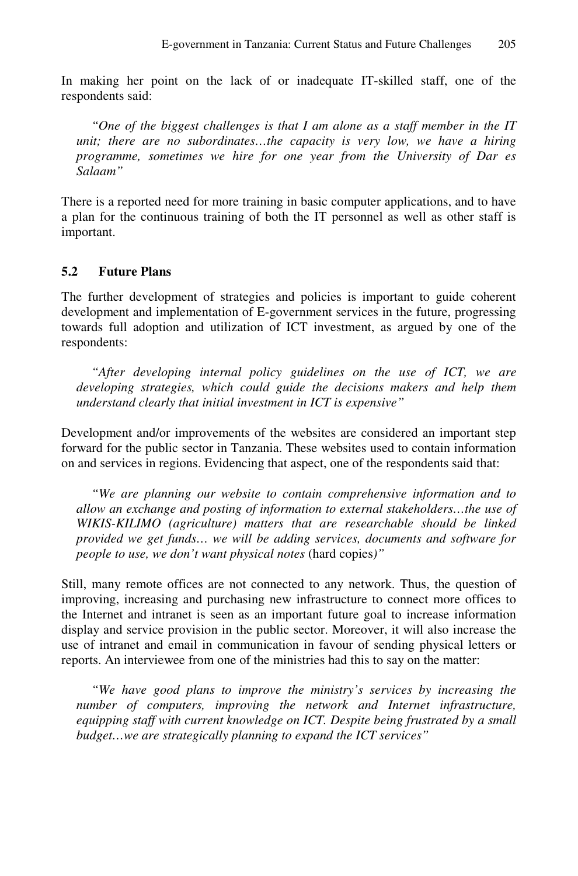In making her point on the lack of or inadequate IT-skilled staff, one of the respondents said:

*"One of the biggest challenges is that I am alone as a staff member in the IT unit; there are no subordinates…the capacity is very low, we have a hiring programme, sometimes we hire for one year from the University of Dar es Salaam"* 

There is a reported need for more training in basic computer applications, and to have a plan for the continuous training of both the IT personnel as well as other staff is important.

#### **5.2 Future Plans**

The further development of strategies and policies is important to guide coherent development and implementation of E-government services in the future, progressing towards full adoption and utilization of ICT investment, as argued by one of the respondents:

*"After developing internal policy guidelines on the use of ICT, we are developing strategies, which could guide the decisions makers and help them understand clearly that initial investment in ICT is expensive"* 

Development and/or improvements of the websites are considered an important step forward for the public sector in Tanzania. These websites used to contain information on and services in regions. Evidencing that aspect, one of the respondents said that:

*"We are planning our website to contain comprehensive information and to allow an exchange and posting of information to external stakeholders…the use of WIKIS-KILIMO (agriculture) matters that are researchable should be linked provided we get funds… we will be adding services, documents and software for people to use, we don't want physical notes* (hard copies*)"* 

Still, many remote offices are not connected to any network. Thus, the question of improving, increasing and purchasing new infrastructure to connect more offices to the Internet and intranet is seen as an important future goal to increase information display and service provision in the public sector. Moreover, it will also increase the use of intranet and email in communication in favour of sending physical letters or reports. An interviewee from one of the ministries had this to say on the matter:

*"We have good plans to improve the ministry's services by increasing the number of computers, improving the network and Internet infrastructure, equipping staff with current knowledge on ICT. Despite being frustrated by a small budget…we are strategically planning to expand the ICT services"*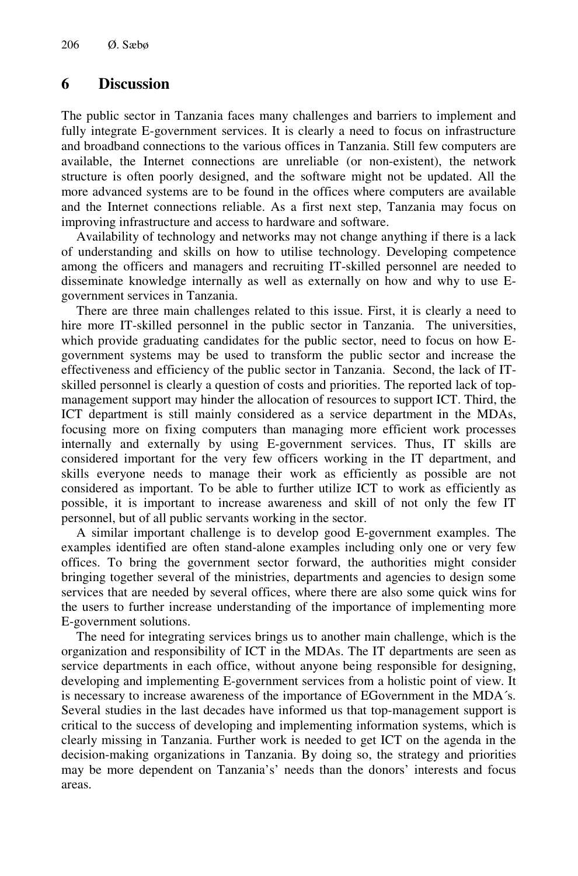### **6 Discussion**

The public sector in Tanzania faces many challenges and barriers to implement and fully integrate E-government services. It is clearly a need to focus on infrastructure and broadband connections to the various offices in Tanzania. Still few computers are available, the Internet connections are unreliable (or non-existent), the network structure is often poorly designed, and the software might not be updated. All the more advanced systems are to be found in the offices where computers are available and the Internet connections reliable. As a first next step, Tanzania may focus on improving infrastructure and access to hardware and software.

Availability of technology and networks may not change anything if there is a lack of understanding and skills on how to utilise technology. Developing competence among the officers and managers and recruiting IT-skilled personnel are needed to disseminate knowledge internally as well as externally on how and why to use Egovernment services in Tanzania.

There are three main challenges related to this issue. First, it is clearly a need to hire more IT-skilled personnel in the public sector in Tanzania. The universities, which provide graduating candidates for the public sector, need to focus on how Egovernment systems may be used to transform the public sector and increase the effectiveness and efficiency of the public sector in Tanzania. Second, the lack of ITskilled personnel is clearly a question of costs and priorities. The reported lack of topmanagement support may hinder the allocation of resources to support ICT. Third, the ICT department is still mainly considered as a service department in the MDAs, focusing more on fixing computers than managing more efficient work processes internally and externally by using E-government services. Thus, IT skills are considered important for the very few officers working in the IT department, and skills everyone needs to manage their work as efficiently as possible are not considered as important. To be able to further utilize ICT to work as efficiently as possible, it is important to increase awareness and skill of not only the few IT personnel, but of all public servants working in the sector.

A similar important challenge is to develop good E-government examples. The examples identified are often stand-alone examples including only one or very few offices. To bring the government sector forward, the authorities might consider bringing together several of the ministries, departments and agencies to design some services that are needed by several offices, where there are also some quick wins for the users to further increase understanding of the importance of implementing more E-government solutions.

The need for integrating services brings us to another main challenge, which is the organization and responsibility of ICT in the MDAs. The IT departments are seen as service departments in each office, without anyone being responsible for designing, developing and implementing E-government services from a holistic point of view. It is necessary to increase awareness of the importance of EGovernment in the MDA´s. Several studies in the last decades have informed us that top-management support is critical to the success of developing and implementing information systems, which is clearly missing in Tanzania. Further work is needed to get ICT on the agenda in the decision-making organizations in Tanzania. By doing so, the strategy and priorities may be more dependent on Tanzania's' needs than the donors' interests and focus areas.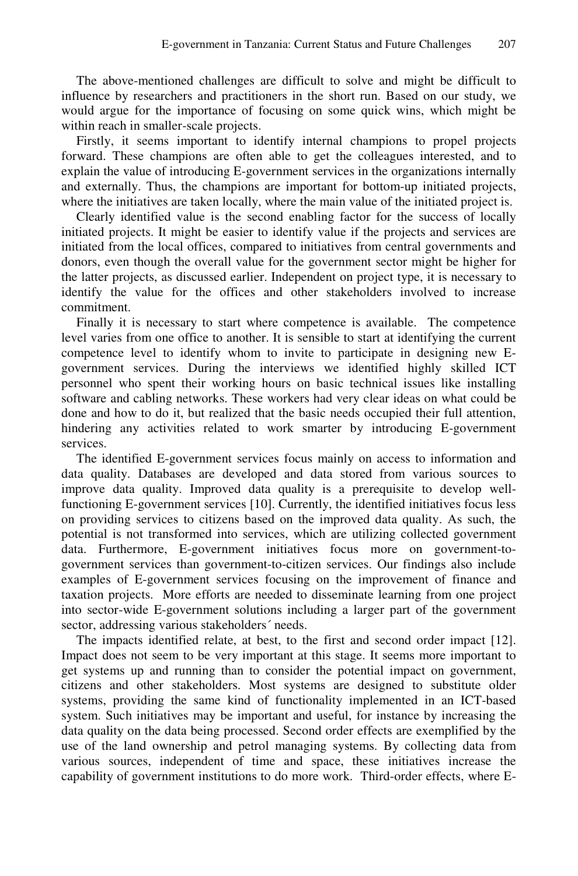The above-mentioned challenges are difficult to solve and might be difficult to influence by researchers and practitioners in the short run. Based on our study, we would argue for the importance of focusing on some quick wins, which might be within reach in smaller-scale projects.

Firstly, it seems important to identify internal champions to propel projects forward. These champions are often able to get the colleagues interested, and to explain the value of introducing E-government services in the organizations internally and externally. Thus, the champions are important for bottom-up initiated projects, where the initiatives are taken locally, where the main value of the initiated project is.

Clearly identified value is the second enabling factor for the success of locally initiated projects. It might be easier to identify value if the projects and services are initiated from the local offices, compared to initiatives from central governments and donors, even though the overall value for the government sector might be higher for the latter projects, as discussed earlier. Independent on project type, it is necessary to identify the value for the offices and other stakeholders involved to increase commitment.

Finally it is necessary to start where competence is available. The competence level varies from one office to another. It is sensible to start at identifying the current competence level to identify whom to invite to participate in designing new Egovernment services. During the interviews we identified highly skilled ICT personnel who spent their working hours on basic technical issues like installing software and cabling networks. These workers had very clear ideas on what could be done and how to do it, but realized that the basic needs occupied their full attention, hindering any activities related to work smarter by introducing E-government services.

The identified E-government services focus mainly on access to information and data quality. Databases are developed and data stored from various sources to improve data quality. Improved data quality is a prerequisite to develop wellfunctioning E-government services [10]. Currently, the identified initiatives focus less on providing services to citizens based on the improved data quality. As such, the potential is not transformed into services, which are utilizing collected government data. Furthermore, E-government initiatives focus more on government-togovernment services than government-to-citizen services. Our findings also include examples of E-government services focusing on the improvement of finance and taxation projects. More efforts are needed to disseminate learning from one project into sector-wide E-government solutions including a larger part of the government sector, addressing various stakeholders´ needs.

The impacts identified relate, at best, to the first and second order impact [12]. Impact does not seem to be very important at this stage. It seems more important to get systems up and running than to consider the potential impact on government, citizens and other stakeholders. Most systems are designed to substitute older systems, providing the same kind of functionality implemented in an ICT-based system. Such initiatives may be important and useful, for instance by increasing the data quality on the data being processed. Second order effects are exemplified by the use of the land ownership and petrol managing systems. By collecting data from various sources, independent of time and space, these initiatives increase the capability of government institutions to do more work. Third-order effects, where E-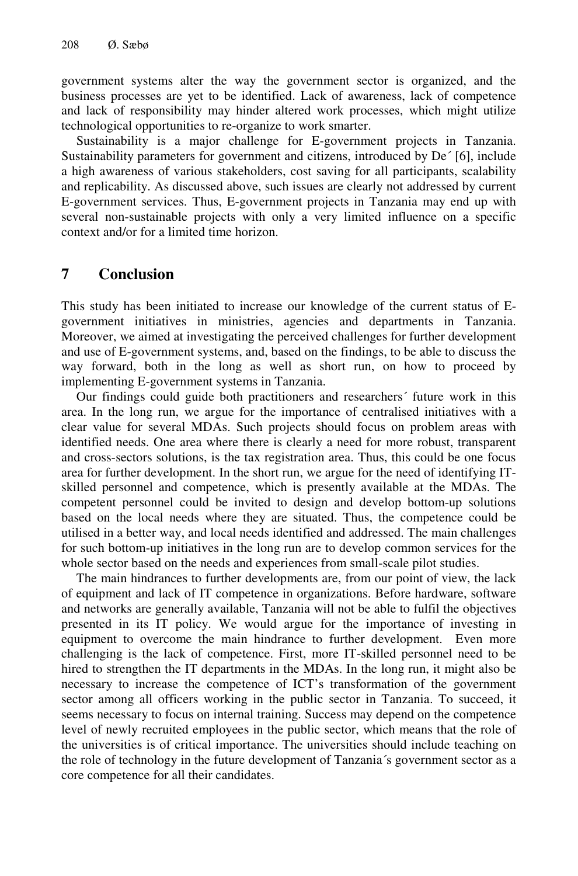government systems alter the way the government sector is organized, and the business processes are yet to be identified. Lack of awareness, lack of competence and lack of responsibility may hinder altered work processes, which might utilize technological opportunities to re-organize to work smarter.

Sustainability is a major challenge for E-government projects in Tanzania. Sustainability parameters for government and citizens, introduced by De´ [6], include a high awareness of various stakeholders, cost saving for all participants, scalability and replicability. As discussed above, such issues are clearly not addressed by current E-government services. Thus, E-government projects in Tanzania may end up with several non-sustainable projects with only a very limited influence on a specific context and/or for a limited time horizon.

# **7 Conclusion**

This study has been initiated to increase our knowledge of the current status of Egovernment initiatives in ministries, agencies and departments in Tanzania. Moreover, we aimed at investigating the perceived challenges for further development and use of E-government systems, and, based on the findings, to be able to discuss the way forward, both in the long as well as short run, on how to proceed by implementing E-government systems in Tanzania.

Our findings could guide both practitioners and researchers´ future work in this area. In the long run, we argue for the importance of centralised initiatives with a clear value for several MDAs. Such projects should focus on problem areas with identified needs. One area where there is clearly a need for more robust, transparent and cross-sectors solutions, is the tax registration area. Thus, this could be one focus area for further development. In the short run, we argue for the need of identifying ITskilled personnel and competence, which is presently available at the MDAs. The competent personnel could be invited to design and develop bottom-up solutions based on the local needs where they are situated. Thus, the competence could be utilised in a better way, and local needs identified and addressed. The main challenges for such bottom-up initiatives in the long run are to develop common services for the whole sector based on the needs and experiences from small-scale pilot studies.

The main hindrances to further developments are, from our point of view, the lack of equipment and lack of IT competence in organizations. Before hardware, software and networks are generally available, Tanzania will not be able to fulfil the objectives presented in its IT policy. We would argue for the importance of investing in equipment to overcome the main hindrance to further development. Even more challenging is the lack of competence. First, more IT-skilled personnel need to be hired to strengthen the IT departments in the MDAs. In the long run, it might also be necessary to increase the competence of ICT's transformation of the government sector among all officers working in the public sector in Tanzania. To succeed, it seems necessary to focus on internal training. Success may depend on the competence level of newly recruited employees in the public sector, which means that the role of the universities is of critical importance. The universities should include teaching on the role of technology in the future development of Tanzania´s government sector as a core competence for all their candidates.